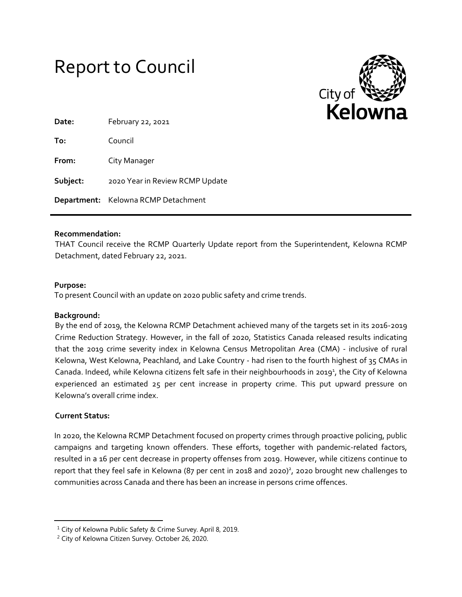



| Date:    | February 22, 2021                   |
|----------|-------------------------------------|
| To:      | Council                             |
| From:    | City Manager                        |
| Subject: | 2020 Year in Review RCMP Update     |
|          | Department: Kelowna RCMP Detachment |

### **Recommendation:**

THAT Council receive the RCMP Quarterly Update report from the Superintendent, Kelowna RCMP Detachment, dated February 22, 2021.

#### **Purpose:**

To present Council with an update on 2020 public safety and crime trends.

### **Background:**

By the end of 2019, the Kelowna RCMP Detachment achieved many of the targets set in its 2016-2019 Crime Reduction Strategy. However, in the fall of 2020, Statistics Canada released results indicating that the 2019 crime severity index in Kelowna Census Metropolitan Area (CMA) - inclusive of rural Kelowna, West Kelowna, Peachland, and Lake Country - had risen to the fourth highest of 35 CMAs in Canada. Indeed, while Kelowna citizens felt safe in their neighbourhoods in 2019<sup>1</sup>, the City of Kelowna experienced an estimated 25 per cent increase in property crime. This put upward pressure on Kelowna's overall crime index.

### **Current Status:**

 $\overline{\phantom{a}}$ 

In 2020, the Kelowna RCMP Detachment focused on property crimes through proactive policing, public campaigns and targeting known offenders. These efforts, together with pandemic-related factors, resulted in a 16 per cent decrease in property offenses from 2019. However, while citizens continue to report that they feel safe in Kelowna (87 per cent in 2018 and 2020)<sup>2</sup>, 2020 brought new challenges to communities across Canada and there has been an increase in persons crime offences.

<sup>&</sup>lt;sup>1</sup> City of Kelowna Public Safety & Crime Survey. April 8, 2019.

<sup>2</sup> City of Kelowna Citizen Survey. October 26, 2020.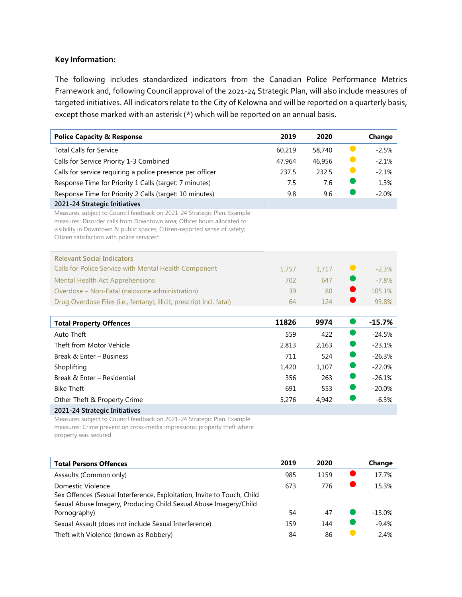# **Key Information:**

The following includes standardized indicators from the Canadian Police Performance Metrics Framework and, following Council approval of the 2021-24 Strategic Plan, will also include measures of targeted initiatives. All indicators relate to the City of Kelowna and will be reported on a quarterly basis, except those marked with an asterisk (\*) which will be reported on an annual basis.

| <b>Police Capacity &amp; Response</b>                                                                                                                                                                                                                                         | 2019   | 2020   |           | Change   |
|-------------------------------------------------------------------------------------------------------------------------------------------------------------------------------------------------------------------------------------------------------------------------------|--------|--------|-----------|----------|
| <b>Total Calls for Service</b>                                                                                                                                                                                                                                                | 60,219 | 58,740 | $\bullet$ | $-2.5%$  |
| Calls for Service Priority 1-3 Combined                                                                                                                                                                                                                                       | 47,964 | 46,956 |           | $-2.1%$  |
| Calls for service requiring a police presence per officer                                                                                                                                                                                                                     | 237.5  | 232.5  | $\bullet$ | $-2.1%$  |
| Response Time for Priority 1 Calls (target: 7 minutes)                                                                                                                                                                                                                        | 7.5    | 7.6    |           | 1.3%     |
| Response Time for Priority 2 Calls (target: 10 minutes)                                                                                                                                                                                                                       | 9.8    | 9.6    |           | $-2.0%$  |
| 2021-24 Strategic Initiatives                                                                                                                                                                                                                                                 |        |        |           |          |
| Measures subject to Council feedback on 2021-24 Strategic Plan. Example<br>measures: Disorder calls from Downtown area; Officer hours allocated to<br>visibility in Downtown & public spaces; Citizen-reported sense of safety;<br>Citizen satisfaction with police services* |        |        |           |          |
| <b>Relevant Social Indicators</b>                                                                                                                                                                                                                                             |        |        |           |          |
| Calls for Police Service with Mental Health Component                                                                                                                                                                                                                         | 1,757  | 1,717  |           | $-2.3%$  |
| <b>Mental Health Act Apprehensions</b>                                                                                                                                                                                                                                        | 702    | 647    |           | $-7.8%$  |
| Overdose - Non-Fatal (naloxone administration)                                                                                                                                                                                                                                | 39     | 80     |           | 105.1%   |
| Drug Overdose Files (i.e., fentanyl, illicit, prescript incl. fatal)                                                                                                                                                                                                          | 64     | 124    |           | 93.8%    |
| <b>Total Property Offences</b>                                                                                                                                                                                                                                                | 11826  | 9974   |           | $-15.7%$ |
| Auto Theft                                                                                                                                                                                                                                                                    | 559    | 422    |           | $-24.5%$ |
| Theft from Motor Vehicle                                                                                                                                                                                                                                                      | 2,813  | 2,163  |           | $-23.1%$ |
| Break & Enter - Business                                                                                                                                                                                                                                                      | 711    | 524    |           | $-26.3%$ |
| Shoplifting                                                                                                                                                                                                                                                                   | 1,420  | 1,107  |           | $-22.0%$ |
| Break & Enter - Residential                                                                                                                                                                                                                                                   | 356    | 263    |           | $-26.1%$ |
| <b>Bike Theft</b>                                                                                                                                                                                                                                                             | 691    | 553    |           | $-20.0%$ |
| Other Theft & Property Crime                                                                                                                                                                                                                                                  | 5,276  | 4,942  |           | $-6.3%$  |
| 2021-24 Strategic Initiatives                                                                                                                                                                                                                                                 |        |        |           |          |
| Measures subject to Council feedback on 2021-24 Strategic Plan, Example                                                                                                                                                                                                       |        |        |           |          |

t to Council feedback on 2021-24 Strategic Plan. Exa measures: Crime prevention cross-media impressions; property theft where property was secured

| <b>Total Persons Offences</b>                                                                                                                                    | 2019 | 2020 | Change   |
|------------------------------------------------------------------------------------------------------------------------------------------------------------------|------|------|----------|
| Assaults (Common only)                                                                                                                                           | 985  | 1159 | 17.7%    |
| Domestic Violence<br>Sex Offences (Sexual Interference, Exploitation, Invite to Touch, Child<br>Sexual Abuse Imagery, Producing Child Sexual Abuse Imagery/Child | 673  | 776  | 15.3%    |
| Pornography)                                                                                                                                                     | 54   | 47   | $-13.0%$ |
| Sexual Assault (does not include Sexual Interference)                                                                                                            | 159  | 144  | $-9.4%$  |
| Theft with Violence (known as Robbery)                                                                                                                           | 84   | 86   | 2.4%     |